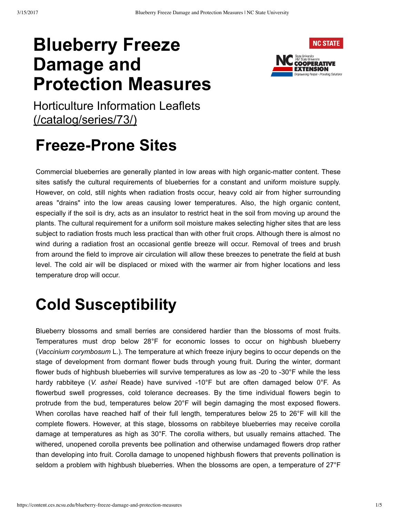# **Blueberry Freeze Damage and Protection Measures**



Horticulture Information Leaflets (/catalog/series/73/)

## **Freeze-Prone Sites**

Commercial blueberries are generally planted in low areas with high organic-matter content. These sites satisfy the cultural requirements of blueberries for a constant and uniform moisture supply. However, on cold, still nights when radiation frosts occur, heavy cold air from higher surrounding areas "drains" into the low areas causing lower temperatures. Also, the high organic content, especially if the soil is dry, acts as an insulator to restrict heat in the soil from moving up around the plants. The cultural requirement for a uniform soil moisture makes selecting higher sites that are less subject to radiation frosts much less practical than with other fruit crops. Although there is almost no wind during a radiation frost an occasional gentle breeze will occur. Removal of trees and brush from around the field to improve air circulation will allow these breezes to penetrate the field at bush level. The cold air will be displaced or mixed with the warmer air from higher locations and less temperature drop will occur.

# **Cold Susceptibility**

Blueberry blossoms and small berries are considered hardier than the blossoms of most fruits. Temperatures must drop below 28°F for economic losses to occur on highbush blueberry (*Vaccinium corymbosum* L.). The temperature at which freeze injury begins to occur depends on the stage of development from dormant flower buds through young fruit. During the winter, dormant flower buds of highbush blueberries will survive temperatures as low as -20 to -30 $\degree$ F while the less hardy rabbiteye (*V. ashei* Reade) have survived 10°F but are often damaged below 0°F. As flowerbud swell progresses, cold tolerance decreases. By the time individual flowers begin to protrude from the bud, temperatures below 20°F will begin damaging the most exposed flowers. When corollas have reached half of their full length, temperatures below 25 to 26°F will kill the complete flowers. However, at this stage, blossoms on rabbiteye blueberries may receive corolla damage at temperatures as high as 30°F. The corolla withers, but usually remains attached. The withered, unopened corolla prevents bee pollination and otherwise undamaged flowers drop rather than developing into fruit. Corolla damage to unopened highbush flowers that prevents pollination is seldom a problem with highbush blueberries. When the blossoms are open, a temperature of 27°F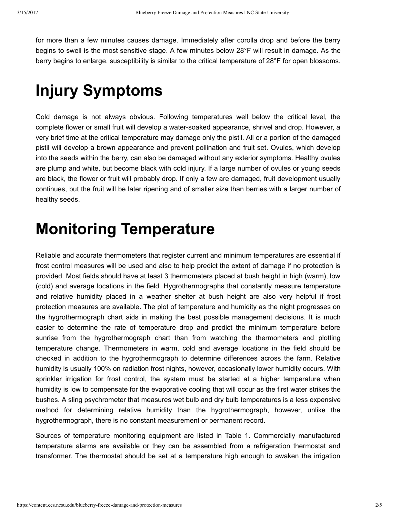for more than a few minutes causes damage. Immediately after corolla drop and before the berry begins to swell is the most sensitive stage. A few minutes below 28°F will result in damage. As the berry begins to enlarge, susceptibility is similar to the critical temperature of 28°F for open blossoms.

## **Injury Symptoms**

Cold damage is not always obvious. Following temperatures well below the critical level, the complete flower or small fruit will develop a water-soaked appearance, shrivel and drop. However, a very brief time at the critical temperature may damage only the pistil. All or a portion of the damaged pistil will develop a brown appearance and prevent pollination and fruit set. Ovules, which develop into the seeds within the berry, can also be damaged without any exterior symptoms. Healthy ovules are plump and white, but become black with cold injury. If a large number of ovules or young seeds are black, the flower or fruit will probably drop. If only a few are damaged, fruit development usually continues, but the fruit will be later ripening and of smaller size than berries with a larger number of healthy seeds.

### **Monitoring Temperature**

Reliable and accurate thermometers that register current and minimum temperatures are essential if frost control measures will be used and also to help predict the extent of damage if no protection is provided. Most fields should have at least 3 thermometers placed at bush height in high (warm), low (cold) and average locations in the field. Hygrothermographs that constantly measure temperature and relative humidity placed in a weather shelter at bush height are also very helpful if frost protection measures are available. The plot of temperature and humidity as the night progresses on the hygrothermograph chart aids in making the best possible management decisions. It is much easier to determine the rate of temperature drop and predict the minimum temperature before sunrise from the hygrothermograph chart than from watching the thermometers and plotting temperature change. Thermometers in warm, cold and average locations in the field should be checked in addition to the hygrothermograph to determine differences across the farm. Relative humidity is usually 100% on radiation frost nights, however, occasionally lower humidity occurs. With sprinkler irrigation for frost control, the system must be started at a higher temperature when humidity is low to compensate for the evaporative cooling that will occur as the first water strikes the bushes. A sling psychrometer that measures wet bulb and dry bulb temperatures is a less expensive method for determining relative humidity than the hygrothermograph, however, unlike the hygrothermograph, there is no constant measurement or permanent record.

Sources of temperature monitoring equipment are listed in Table 1. Commercially manufactured temperature alarms are available or they can be assembled from a refrigeration thermostat and transformer. The thermostat should be set at a temperature high enough to awaken the irrigation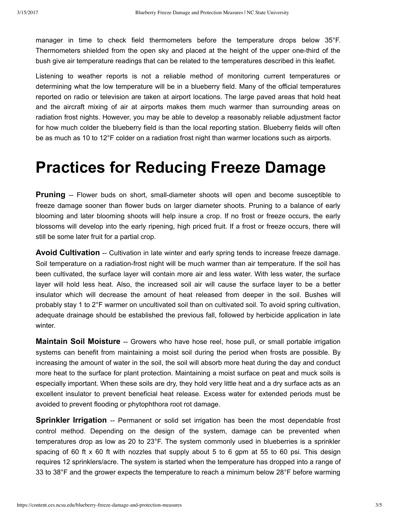manager in time to check field thermometers before the temperature drops below 35°F. Thermometers shielded from the open sky and placed at the height of the upper one-third of the bush give air temperature readings that can be related to the temperatures described in this leaflet.

Listening to weather reports is not a reliable method of monitoring current temperatures or determining what the low temperature will be in a blueberry field. Many of the official temperatures reported on radio or television are taken at airport locations. The large paved areas that hold heat and the aircraft mixing of air at airports makes them much warmer than surrounding areas on radiation frost nights. However, you may be able to develop a reasonably reliable adjustment factor for how much colder the blueberry field is than the local reporting station. Blueberry fields will often be as much as 10 to 12°F colder on a radiation frost night than warmer locations such as airports.

### **Practices for Reducing Freeze Damage**

**Pruning** -- Flower buds on short, small-diameter shoots will open and become susceptible to freeze damage sooner than flower buds on larger diameter shoots. Pruning to a balance of early blooming and later blooming shoots will help insure a crop. If no frost or freeze occurs, the early blossoms will develop into the early ripening, high priced fruit. If a frost or freeze occurs, there will still be some later fruit for a partial crop.

**Avoid Cultivation** -- Cultivation in late winter and early spring tends to increase freeze damage. Soil temperature on a radiation-frost night will be much warmer than air temperature. If the soil has been cultivated, the surface layer will contain more air and less water. With less water, the surface layer will hold less heat. Also, the increased soil air will cause the surface layer to be a better insulator which will decrease the amount of heat released from deeper in the soil. Bushes will probably stay 1 to 2°F warmer on uncultivated soil than on cultivated soil. To avoid spring cultivation, adequate drainage should be established the previous fall, followed by herbicide application in late winter.

**Maintain Soil Moisture** -- Growers who have hose reel, hose pull, or small portable irrigation systems can benefit from maintaining a moist soil during the period when frosts are possible. By increasing the amount of water in the soil, the soil will absorb more heat during the day and conduct more heat to the surface for plant protection. Maintaining a moist surface on peat and muck soils is especially important. When these soils are dry, they hold very little heat and a dry surface acts as an excellent insulator to prevent beneficial heat release. Excess water for extended periods must be avoided to prevent flooding or phytophthora root rot damage.

**Sprinkler Irrigation** -- Permanent or solid set irrigation has been the most dependable frost control method. Depending on the design of the system, damage can be prevented when temperatures drop as low as 20 to 23°F. The system commonly used in blueberries is a sprinkler spacing of 60 ft  $\times$  60 ft with nozzles that supply about 5 to 6 gpm at 55 to 60 psi. This design requires 12 sprinklers/acre. The system is started when the temperature has dropped into a range of 33 to 38°F and the grower expects the temperature to reach a minimum below 28°F before warming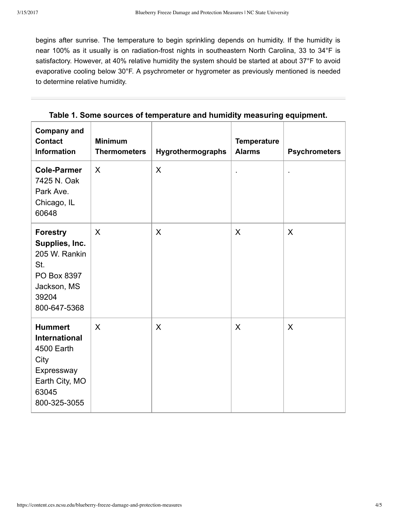begins after sunrise. The temperature to begin sprinkling depends on humidity. If the humidity is near 100% as it usually is on radiation-frost nights in southeastern North Carolina, 33 to 34°F is satisfactory. However, at 40% relative humidity the system should be started at about 37°F to avoid evaporative cooling below 30°F. A psychrometer or hygrometer as previously mentioned is needed to determine relative humidity.

| <b>Company and</b><br><b>Contact</b><br><b>Information</b>                                                            | <b>Minimum</b><br><b>Thermometers</b> | Hygrothermographs | <b>Temperature</b><br><b>Alarms</b> | <b>Psychrometers</b> |
|-----------------------------------------------------------------------------------------------------------------------|---------------------------------------|-------------------|-------------------------------------|----------------------|
| <b>Cole-Parmer</b><br>7425 N. Oak<br>Park Ave.<br>Chicago, IL<br>60648                                                | $\sf X$                               | X                 |                                     |                      |
| <b>Forestry</b><br>Supplies, Inc.<br>205 W. Rankin<br>St.<br>PO Box 8397<br>Jackson, MS<br>39204<br>800-647-5368      | X                                     | X                 | X                                   | X                    |
| <b>Hummert</b><br><b>International</b><br>4500 Earth<br>City<br>Expressway<br>Earth City, MO<br>63045<br>800-325-3055 | $\sf X$                               | X                 | X                                   | X                    |

**Table 1. Some sources of temperature and humidity measuring equipment.**